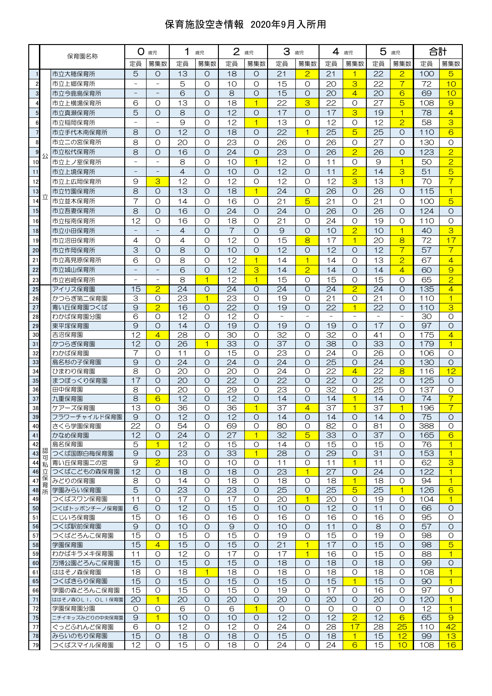## 保育施設空き情報 2020年9月入所用

|                  | 保育園名称  |                     | O<br>歳児                  |                           | 1<br>歳児        |                    | $\overline{2}$<br>歳児 |                      | З<br>歳児               |                           | 4<br>歳児               |                          | 5<br>歳児         |                          | 合計        |                           |
|------------------|--------|---------------------|--------------------------|---------------------------|----------------|--------------------|----------------------|----------------------|-----------------------|---------------------------|-----------------------|--------------------------|-----------------|--------------------------|-----------|---------------------------|
|                  |        |                     | 定員                       | 募集数                       | 定員             | 募集数                | 定員                   | 募集数                  | 定員                    | 募集数                       | 定員                    | 募集数                      | 定員              | 募集数                      | 定員        | 募集数                       |
| $\overline{1}$   |        | 市立大穂保育所             | 5                        | $\circ$                   | 13             | O                  | 18                   | $\Omega$             | 21                    | $\overline{2}$            | 21                    | 1                        | 22              | $\overline{2}$           | 100       | $\overline{5}$            |
| $\overline{c}$   |        | 市立上郷保育所             | $\overline{a}$           | $\qquad \qquad -$         | 5              | O                  | 10                   | Ω                    | 15                    | O                         | 20                    | 3                        | 22              | $\overline{7}$           | 72        | 10                        |
| $\mathbf{3}$     |        | 市立今鹿島保育所            |                          |                           | 6              | $\circ$            | 8                    | $\Omega$             | 15                    | $\circ$                   | 20                    | $\overline{4}$           | 20              | 6                        | 69        | 10                        |
| 4                |        | 市立上横場保育所            | 6                        | Ο                         | 13             | O                  | 18                   | $\overline{1}$       | 22                    | 3                         | 22                    | O                        | 27              | 5                        | 108       | $\Theta$                  |
| $\overline{5}$   |        | 市立真瀬保育所             | 5                        | $\circ$                   | 8              | $\overline{O}$     | 12                   | O                    | 17                    | $\overline{O}$            | 17                    | 3                        | 19              | $\overline{1}$           | 78        | $\overline{4}$            |
| $\boldsymbol{6}$ |        | 市立稲岡保育所             |                          | $\overline{\phantom{a}}$  | $\Theta$       | O                  | 12                   | $\overline{1}$       | 13                    | $\circ$                   | 12                    | $\circ$                  | 12              | $\overline{2}$           | 58        | 3                         |
| $\overline{7}$   |        | 市立手代木南保育所           | 8                        | $\circ$                   | 12             | $\circ$            | 18                   | $\Omega$             | 22                    | $\overline{1}$            | 25                    | 5                        | 25              | $\circ$                  | 110       | 6                         |
| 8                |        | 市立二の宮保育所            | 8                        | O                         | 20             | O                  | 23                   | $\Omega$             | 26                    | $\circ$                   | 26                    | $\circ$                  | 27              | $\circ$                  | 130       | $\circ$                   |
| 9                | 公      | 市立松代保育所             | 8                        | Ο                         | 16             | $\circ$            | 24                   | $\Omega$             | 23                    | $\circ$                   | 26                    | $\overline{2}$           | 26              | O                        | 123       | $\overline{2}$            |
| 10               |        | 市立上ノ室保育所            |                          | $\overline{\phantom{a}}$  | 8              | O                  | 10                   | $\overline{1}$       | 12                    | $\circ$                   | 11                    | $\circ$                  | 9               | $\overline{1}$           | 50        | $\overline{2}$            |
| 11               |        | 市立上境保育所             |                          |                           | $\overline{4}$ | $\circ$            | 10                   | $\Omega$             | 12                    | $\circ$                   | 11                    | $\overline{2}$           | 14              | 3                        | 51        | $\overline{5}$            |
| 12               |        | 市立上広岡保育所            | 9                        | 3                         | 12             | O                  | 12                   | $\Omega$             | 12                    | $\circ$                   | 12                    | 3                        | 13              | $\overline{1}$           | 70        | $\overline{7}$            |
| 13               | 17     | 市立竹園保育所             | 8                        | $\circ$                   | 13             | $\circ$            | 18                   | $\overline{1}$       | 24                    | $\circ$                   | 26                    | $\circ$                  | 26              | $\circ$                  | 115       | $\overline{1}$            |
| 14               |        | 市立並木保育所             | 7                        | O                         | 14             | O                  | 16                   | $\Omega$             | 21                    | 5                         | 21                    | $\circ$                  | 21              | $\circ$                  | 100       | 5                         |
| 15               |        | 市立吾妻保育所             | 8                        | $\circ$                   | 16             | O                  | 24                   | $\Omega$             | 24                    | $\circ$                   | 26                    | O                        | 26              | $\circ$                  | 124       | $\circ$                   |
| 16               |        | 市立桜南保育所             | 12                       | O                         | 16             | O                  | 18                   | $\Omega$             | 21                    | O                         | 24                    | O                        | 19              | O                        | 110       | $\circ$                   |
| 18               |        | 市立小田保育所             |                          | $\overline{\phantom{0}}$  | 4              | O                  | 7                    | O                    | $\Theta$              | $\circ$                   | 10                    | $\overline{2}$           | 10              | $\overline{1}$           | 40        | 3                         |
| 19               |        | 市立沼田保育所             | 4                        | O                         | $\overline{4}$ | $\circ$            | 12                   | $\Omega$             | 15                    | 8                         | 17                    | $\overline{1}$           | 20              | $\overline{8}$           | 72        | 17                        |
| 20               |        | 市立作岡保育所             | 3                        | $\circ$                   | 8              | $\circ$            | 10                   | $\Omega$             | 12                    | $\circ$                   | 12                    | O                        | 12              | $\overline{7}$           | 57        | $\overline{7}$            |
| 21               |        | 市立高見原保育所            | 6                        | O                         | 8              | $\circ$            | 12                   | $\overline{1}$       | 14                    | $\overline{1}$            | 14                    | O                        | 13              | $\overline{2}$           | 67        | $\overline{4}$            |
| 22               |        | 市立城山保育所             | $\overline{\phantom{a}}$ | $\overline{\phantom{a}}$  | 6              | $\circ$            | 12                   | 3                    | 14                    | $\overline{2}$            | 14                    | $\circ$                  | 14              | $\overline{4}$           | 60        | $\Theta$                  |
| 23               |        | 市立岩崎保育所             | $\overline{\phantom{a}}$ | $\qquad \qquad -$         | 8              | $\overline{1}$     | 12                   | $\overline{1}$       | 15                    | O                         | 15                    | $\Omega$                 | 15              | $\Omega$                 | 65        | $\overline{2}$            |
| 25               |        | アイリス保育園             | 15                       | $\overline{2}$            | 24             | O                  | 24                   | O                    | 24                    | O                         | 24                    | $\overline{2}$           | 24              | O                        | 135       | $\overline{4}$            |
| 26               |        | かつらぎ第二保育園           | 3                        | O                         | 23             | 1                  | 23                   | $\Omega$             | 19                    | O                         | 21                    | $\circ$                  | 21              | O                        | 110       | $\overline{1}$            |
| 27               |        | 青い丘保育園つくば           | $\Theta$                 | $\overline{2}$            | 16             | O                  | 22                   | $\Omega$             | 19                    | $\circ$                   | $\overline{22}$       | $\overline{1}$           | $\overline{22}$ | $\circ$                  | 110       | $\overline{3}$            |
| 28               |        | わかば保育園分園            | 6                        | $\circ$                   | 12             | O                  | 12                   | O                    |                       |                           |                       | $\overline{\phantom{0}}$ | 17              | $\overline{\phantom{a}}$ | 30<br>97  | $\circ$<br>$\circ$        |
| 29<br>30         |        | 東平塚保育園<br>吉沼保育園     | $\Theta$<br>12           | Ο<br>4                    | 14<br>28       | $\circ$<br>O       | 19<br>30             | $\Omega$<br>$\Omega$ | 19<br>32              | $\circ$<br>$\circ$        | 19<br>$\overline{32}$ | O<br>$\circ$             | 41              | Ο<br>$\circ$             | 175       | $\overline{4}$            |
| 31               |        | かつらぎ保育園             | 12                       | Ο                         | 26             | $\overline{1}$     | 33                   | O                    | $\overline{37}$       | $\circ$                   | $\overline{38}$       | $\circ$                  | $\overline{33}$ | O                        | 179       | $\overline{1}$            |
| 32               |        | わかば保育園              | 7                        | O                         | 11             | O                  | 15                   | Ο                    | 23                    | O                         | 24                    | O                        | 26              | O                        | 106       | $\circ$                   |
| 33               |        | 島名杉の子保育園            | $\Theta$                 | $\circ$                   | 24             | O                  | 24                   | $\Omega$             | $\overline{24}$       | $\circ$                   | $\overline{25}$       | $\circ$                  | 24              | $\circ$                  | 130       | $\circ$                   |
| 34               |        | ひまわり保育園             | 8                        | O                         | 20             | $\circ$            | 20                   | Ω                    | 24                    | $\circ$                   | 22                    | $\overline{4}$           | 22              | 8                        | 116       | 12                        |
| 35               |        | まつぼっくり保育園           | 17                       | O                         | 20             | O                  | 22                   | O                    | 22                    | $\circ$                   | 22                    | O                        | 22              | $\circ$                  | 125       | $\circ$                   |
| 36               |        | 田中保育園               | 8                        | $\circ$                   | 20             | O                  | 29                   | $\Omega$             | 23                    | $\circ$                   | 32                    | O                        | 25              | $\circ$                  | 137       | $\circ$                   |
| 37               |        | 九重保育園               | 8                        | 6                         | 12             | O                  | 12                   | $\Omega$             | 14                    | $\circ$                   | 14                    | $\overline{1}$           | 14              | $\Omega$                 | 74        | $\overline{7}$            |
| 38               |        | ケアーズ保育園             | 13                       | Ο                         | 36             | $\circ$            | 36                   | $\mathbf{1}$         | $\overline{37}$       | $\overline{4}$            | $\overline{37}$       | $\overline{1}$           | $\overline{37}$ | $\overline{1}$           | 196       | 7                         |
| 39               |        | フラワーチャイルド保育園        | 9                        | Ő                         | 12             | Ő                  | 12                   | Ő                    | 14                    | Ő                         | 14                    | Ő                        | 14              | Ő                        | $\sigma$  | O                         |
| 40               |        | さくら学園保育園            | 22                       | O                         | 54             | $\circ$            | 69                   | $\circ$              | 80                    | $\circ$                   | 82                    | $\circ$                  | 81              | $\circ$                  | 388       | O                         |
| 41               |        | かなめ保育園<br>島名保育園     | 12<br>5                  | O<br>$\overline{1}$       | 24<br>12       | $\circ$<br>$\circ$ | 27<br>15             | $\overline{1}$<br>O  | 32<br>14              | $\overline{5}$<br>$\circ$ | 33<br>15              | $\circ$<br>$\circ$       | 37<br>15        | O<br>$\circ$             | 165<br>76 | 6<br>$\overline{1}$       |
| 42<br>43         | 認      | つくば国際白梅保育園          | 9                        | $\circ$                   | 23             | $\circ$            | 33                   | $\overline{1}$       | 28                    | $\circ$                   | 29                    | $\circ$                  | 31              | $\circ$                  | 153       | $\overline{1}$            |
| 44               | 미      | 青い丘保育園二の宮           | $\Theta$                 | $\overline{2}$            | 10             | O                  | 10                   | $\circ$              | 11                    | O                         | 11                    | $\overline{1}$           | 11              | $\circ$                  | 62        | 3                         |
| 46               | 私<br>立 | つくばこどもの森保育園         | 12                       | $\circ$                   | 18             | O                  | 18                   | $\circ$              | 23                    | $\mathbf{1}$              | 27                    | $\circ$                  | 24              | $\circ$                  | 122       | $\mathbf{1}$              |
| 47               | 保      | みどりの保育園             | 8                        | 0                         | 14             | O                  | 18                   | O                    | 18                    | O                         | 18                    | $\overline{1}$           | 18              | $\circ$                  | 94        | $\overline{1}$            |
| 48               | 育<br>所 | 学園みらい保育園            | $\overline{5}$           | O                         | 23             | $\circ$            | 23                   | O                    | 25                    | $\circ$                   | 25                    | $\overline{5}$           | 25              | $\overline{1}$           | 126       | 6                         |
| 49               |        | つくばスワン保育園           | 11                       | $\circ$                   | 17             | $\circ$            | 17                   | $\circ$              | 20                    | $\overline{1}$            | 20                    | $\circ$                  | 19              | $\circ$                  | 104       | $\overline{1}$            |
| 50               |        | つくばトッポンチーノ保育園       | 6                        | $\circ$                   | 12             | $\circ$            | 15                   | $\circ$              | 10                    | $\circ$                   | 12                    | $\overline{O}$           | 11              | $\circ$                  | 66        | $\circ$                   |
| 51               |        | にじいろ保育園             | 15                       | $\circ$                   | 16             | $\circ$            | 16                   | $\circ$              | 16                    | O                         | 16                    | O                        | 16              | $\circ$                  | 95        | $\circ$                   |
| 56               |        | つくば駅前保育園            | 9                        | O                         | 10             | O                  | 9                    | O                    | 10                    | $\circ$                   | 11                    | O                        | 8               | $\circ$                  | 57        | O                         |
| 57               |        | つくばどろんこ保育園          | 15<br>15                 | $\circ$<br>$\overline{4}$ | 15<br>15       | O<br>$\circ$       | 15<br>15             | $\circ$<br>$\circ$   | 19<br>$\overline{21}$ | $\circ$<br>$\overline{1}$ | 15<br>17              | $\circ$<br>$\circ$       | 19<br>15        | $\circ$<br>$\circ$       | 98<br>98  | $\circ$<br>$\overline{5}$ |
| 58<br>59         |        | 学園保育園<br>わかばキラメキ保育園 | 11                       | O                         | 12             | O                  | 17                   | O                    | 17                    | $\overline{1}$            | 16                    | O                        | 15              | O                        | 88        | $\overline{1}$            |
| 60               |        | 万博公園どろんこ保育園         | 15                       | $\circ$                   | 15             | $\circ$            | 15                   | $\circ$              | 18                    | $\circ$                   | 18                    | $\circ$                  | 18              | $\circ$                  | 99        | $\circ$                   |
| 61               |        | ははそノ森保育園            | 18                       | $\circ$                   | 18             | $\overline{1}$     | 18                   | O                    | 18                    | $\circ$                   | 18                    | O                        | 18              | $\circ$                  | 108       | $\overline{1}$            |
| 65               |        | つくばきらり保育園           | 15                       | O                         | 15             | O                  | 15                   | O                    | 15                    | 0                         | 15                    | $\mathbf{1}$             | 15              | O                        | 90        | $\mathbf{1}$              |
| 66               |        | 学園の森どろんこ保育園         | 15                       | $\circ$                   | 15             | $\circ$            | 15                   | $\circ$              | 19                    | O                         | 17                    | $\circ$                  | 16              | O                        | 97        | $\circ$                   |
| 71               |        | ははそノ森OLI, OLI保育園    | 20                       | $\mathbf{1}$              | 20             | $\circ$            | 20                   | $\circ$              | 20                    | $\circ$                   | 20                    | $\circ$                  | 20              | $\circ$                  | 120       | $\mathbf{1}$              |
| 72               |        | 学園保育園分園             | O                        | $\circ$                   | 6              | $\circ$            | 6                    | $\overline{1}$       | $\circ$               | $\circ$                   | $\circ$               | $\circ$                  | $\circ$         | $\circ$                  | 12        | $\overline{1}$            |
| 75               |        | ニチイキッズみどりの中央保育園     | $\Theta$                 | $\overline{1}$            | 10             | $\circ$            | 10                   | $\circ$              | 12                    | $\circ$                   | 12                    | $\overline{2}$           | 12              | 6                        | 65        | 9                         |
| 77               |        | ぐっどふれんど保育園          | 6                        | O                         | 12             | $\circ$            | 12                   | O                    | 24                    | $\circ$                   | 28                    | 17                       | 28              | 25                       | 110       | 42                        |
| 78               |        | みらいのもり保育園           | 15                       | O                         | 18             | $\circ$            | 18                   | $\circ$              | 15                    | $\circ$                   | 18                    | $\overline{1}$           | 15              | 12                       | 99        | 13 <sub>1</sub>           |
| 79               |        | つくばスマイル保育園          | 12                       | O                         | 15             | O                  | 18                   | $\circ$              | 24                    | O                         | 24                    | $6\overline{6}$          | 15              | 10                       | 108       | 16                        |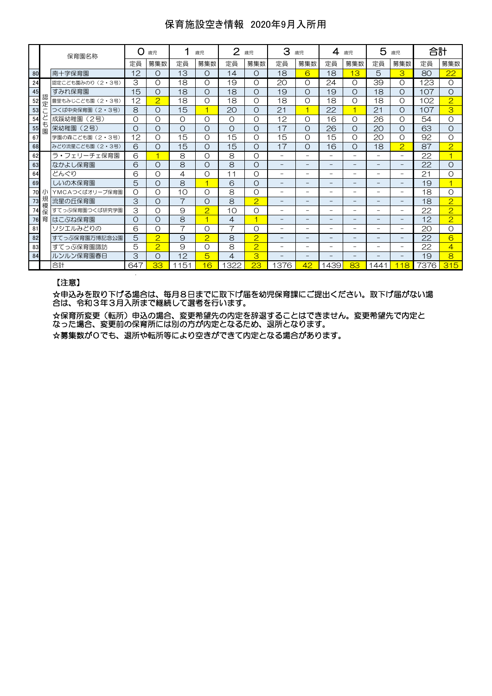### 保育施設空き情報 2020年9月入所用

|    | 保育園名称  |                  | O<br>歳児  |                | 歳児                       |                | $\overline{2}$<br>歳児 |                | 3<br>歳児                  |                          | 4                        | 歳児                       | 5<br>歳児                  |                          | 合計   |                |
|----|--------|------------------|----------|----------------|--------------------------|----------------|----------------------|----------------|--------------------------|--------------------------|--------------------------|--------------------------|--------------------------|--------------------------|------|----------------|
|    |        |                  | 定員       | 募集数            | 定員                       | 募集数            | 定員                   | 募集数            | 定員                       | 募集数                      | 定員                       | 募集数                      | 定員                       | 募集数                      | 定員   | 募集数            |
| 80 |        | 南十字保育園           | 12       | O              | 13                       | O              | 14                   | Ω              | 18                       | 6                        | 18                       | IЗ                       | 5                        | 3                        | 80   | 22             |
| 24 |        | 認定こども園みのり (2・3号) | 3        | Ω              | 18                       | $\Omega$       | 19                   | Ω              | 20                       | $\Omega$                 | 24                       | Ω                        | 39                       | Ω                        | 123  | O              |
| 45 |        | すみれ保育園           | 15       | O              | 18                       | O              | 18                   | $\Omega$       | 19                       | $\Omega$                 | 19                       | O                        | 18                       | O                        | 107  | $\circ$        |
| 52 | 認<br>定 | 豊里もみじこども園 (2·3号) | 12       | $\overline{2}$ | 18                       | O              | 18                   | Ω              | 18                       | $\Omega$                 | 18                       | $\circ$                  | 18                       | O                        | 102  | $\overline{2}$ |
| 53 |        | つくば中央保育園(2・3号)   | 8        | O              | 15                       | 1              | 20                   | O              | 21                       |                          | 22                       | 1                        | 21                       | Ο                        | 107  | 3              |
| 54 | も      | 成蹊幼稚園<br>(2号)    | $\circ$  | Ο              | O                        | O              | $\Omega$             | Ω              | 12                       | $\circ$                  | 16                       | $\circ$                  | 26                       | Ο                        | 54   | $\circ$        |
| 55 | 闌      | 栄幼稚園 (2号)        | $\Omega$ | O              | O                        | O              | $\Omega$             | Ω              | 17                       | $\Omega$                 | 26                       | O                        | 20                       | O                        | 63   | $\overline{O}$ |
| 67 |        | 学園の森こども園 (2·3号)  | 12       | O              | 15                       | O              | 15                   | Ω              | 15                       | $\Omega$                 | 15                       | O                        | 20                       | O                        | 92   | O              |
| 68 |        | みどり流星こども園 (2・3号) | 6        | O              | 15                       | O              | 15                   | $\Omega$       | 17                       | $\circ$                  | 16                       | $\circ$                  | 18                       | $\overline{2}$           | 87   | $\overline{2}$ |
| 62 |        | ラ・フェリーチェ保育園      | 6        | 4              | 8                        | $\circ$        | 8                    | Ω              | $\overline{\phantom{0}}$ | $\overline{\phantom{0}}$ | $\overline{\phantom{0}}$ | $\overline{\phantom{0}}$ | $\overline{\phantom{0}}$ | $\overline{\phantom{0}}$ | 22   | 1              |
| 63 |        | なかよし保育園          | 6        | O              | 8                        | $\Omega$       | 8                    | $\Omega$       | -                        | $\overline{\phantom{0}}$ | -                        | -                        | $\qquad \qquad -$        | $\qquad \qquad -$        | 22   | $\circ$        |
| 64 |        | どんぐり             | 6        | O              | 4                        | $\circ$        | 11                   | $\Omega$       | -                        | $\overline{\phantom{0}}$ | -                        | -                        | $\overline{\phantom{0}}$ | -                        | 21   | O              |
| 69 |        | しいの木保育園          | 5        | O              | 8                        | 1              | 6                    | $\Omega$       | -                        | $\overline{\phantom{0}}$ | $\overline{\phantom{0}}$ | $\overline{\phantom{0}}$ | $\overline{\phantom{0}}$ | $\qquad \qquad -$        | 19   | $\overline{1}$ |
| 70 |        | YMCAつくばオリーブ保育園   | $\Omega$ | Ω              | 10                       | $\Omega$       | 8                    | Ω              | -                        | $\overline{\phantom{0}}$ | $\overline{\phantom{0}}$ | $\overline{\phantom{0}}$ | $\overline{\phantom{0}}$ | -                        | 18   | O              |
| 73 | 規<br>模 | 流星の丘保育園          | 3        | O              | $\overline{\phantom{a}}$ | $\Omega$       | 8                    | $\overline{2}$ | $-$                      | $\overline{\phantom{0}}$ | -                        | $\overline{\phantom{0}}$ | $\overline{\phantom{0}}$ | -                        | 18   | 2              |
| 74 | 保      | すてっぷ保育園つくば研究学園   | 3        | Ω              | 9                        | $\overline{2}$ | 10                   | Ω              | $\overline{\phantom{0}}$ | -                        | -                        | $\overline{\phantom{0}}$ | $\overline{\phantom{0}}$ | Ξ.                       | 22   | $\overline{2}$ |
| 76 | 育      | はこぶね保育園          | $\circ$  | $\Omega$       | 8                        | 1              | 4                    | 1              | -                        | $\overline{\phantom{0}}$ | $\overline{\phantom{0}}$ | $\overline{\phantom{0}}$ | $\overline{\phantom{0}}$ | $\qquad \qquad -$        | 12   | $\overline{2}$ |
| 81 |        | ソシエルみどりの         | 6        | O              | $\overline{7}$           | O              | 7                    | Ω              | $\overline{\phantom{0}}$ | $\overline{\phantom{0}}$ | $\overline{\phantom{0}}$ | $\overline{\phantom{0}}$ | $\overline{\phantom{0}}$ | Ξ.                       | 20   | O              |
| 82 |        | すてっぷ保育園万博記念公園    | 5        | $\overline{2}$ | $\Theta$                 | $\overline{2}$ | 8                    | $\overline{2}$ | -                        | $-$                      | $\overline{\phantom{0}}$ | $\overline{\phantom{0}}$ | $\qquad \qquad -$        | $\qquad \qquad -$        | 22   | 6              |
| 83 |        | すてっぷ保育園諏訪        | 5        | $\overline{2}$ | 9                        | O              | 8                    | $\overline{2}$ | $\overline{\phantom{0}}$ | $\overline{\phantom{0}}$ | $\overline{\phantom{0}}$ | -                        | $\overline{\phantom{0}}$ | $\overline{\phantom{0}}$ | 22   | $\overline{4}$ |
| 84 |        | ルンルン保育園春日        | 3        | Ο              | 12                       | 5              | 4                    | 3              | -                        | $\overline{\phantom{0}}$ | -                        | $\qquad \qquad -$        | $\qquad \qquad -$        | $\qquad \qquad -$        | 19   | 8              |
|    |        | 合計               | 647      | 33             | 1151                     | 6              | 322                  | 23             | 376                      | 42                       | 1439                     | 83                       | 441<br>1                 | 118                      | 7376 | 315            |

#### 【注意】

☆申込みを取り下げる場合は、毎月8日までに取下げ届を幼児保育課にご提出ください。取下げ届がない場 合は、令和3年3月入所まで継続して選考を行います。

☆募集数が0でも、退所や転所等により空きができて内定となる場合があります。 ☆保育所変更(転所)申込の場合、変更希望先の内定を辞退することはできません。変更希望先で内定と なった場合、変更前の保育所には別の方が内定となるため、退所となります。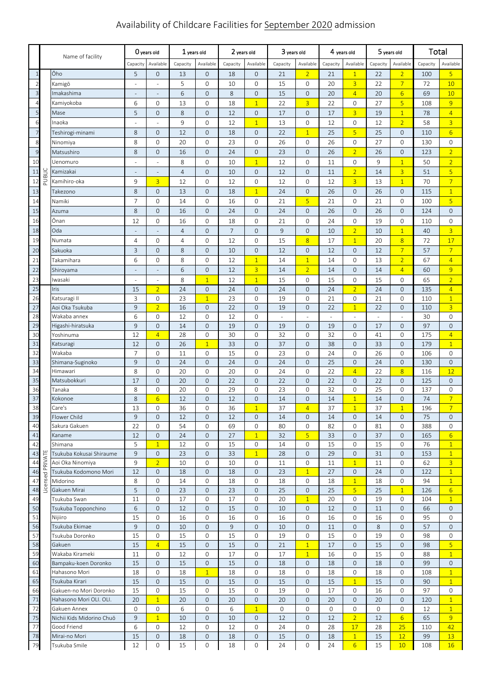# Availability of Childcare Facilities for September 2020 admission

|                 |          |                                                   | O years old       |                                     | $1$ years old  |                              | 2 years old    |                             | 3 years old |                               | 4 years old              |                               | 5 years old |                             | Total      |                                |
|-----------------|----------|---------------------------------------------------|-------------------|-------------------------------------|----------------|------------------------------|----------------|-----------------------------|-------------|-------------------------------|--------------------------|-------------------------------|-------------|-----------------------------|------------|--------------------------------|
|                 |          | Name of facility                                  | Capacity          | Available                           | Capacity       | Available                    | Capacity       | Available                   | Capacity    | Available                     | Capacity                 | Available                     | Capacity    | Available                   | Capacity   | Available                      |
| $\mathbf{1}$    |          | Ōho                                               | 5                 | $\mathbf 0$                         | 13             | $\mathbf{0}$                 | 18             | $\mathbf 0$                 | 21          | $\overline{2}$                | 21                       | $\overline{1}$                | 22          | $\overline{2}$              | 100        | 5 <sup>1</sup>                 |
| $\overline{2}$  |          | Kamigō                                            | L,                | ä,                                  | 5              | $\mathbf{O}$                 | 10             | $\mathbf{O}$                | 15          | $\mathsf{O}\xspace$           | 20                       | $\overline{\mathbf{3}}$       | 22          | $\overline{7}$              | 72         | 10                             |
| $\overline{3}$  |          | Imakashima                                        | $\equiv$          |                                     | 6              | $\mathsf{O}\xspace$          | 8              | $\mathbf 0$                 | 15          | 0                             | 20                       | $\overline{4}$                | 20          | $6\overline{6}$             | 69         | 10                             |
| $\overline{4}$  |          | Kamiyokoba                                        | 6                 | $\mathsf{O}$                        | 13             | $\mathsf{O}$                 | 18             | $\mathbf{1}$                | 22          | $\overline{3}$                | 22                       | $\mathbf 0$                   | 27          | $\overline{5}$              | 108        | 9                              |
| 5               |          | Mase                                              | 5                 | $\mathbf 0$                         | 8              | $\mathsf{O}\xspace$          | 12             | $\mathbf 0$                 | 17          | 0                             | 17                       | $\overline{3}$                | 19          | $\overline{1}$              | 78         | $\overline{4}$                 |
| 6               |          | Inaoka                                            |                   |                                     | 9              | $\mathbf 0$                  | 12             | $\overline{1}$              | 13          | $\mathsf{O}\xspace$           | 12                       | 0                             | 12          | $\overline{2}$              | 58         | $\overline{3}$                 |
| $\overline{7}$  |          | Teshirogi-minami                                  | $\,8\,$           | $\mathbf{0}$                        | 12             | $\mathsf{O}\xspace$          | 18             | $\mathbf{0}$                | 22          | $\overline{1}$                | 25                       | $\overline{5}$                | 25          | $\mathbf 0$                 | 110        | $6\overline{6}$                |
| 8               |          | Ninomiya                                          | 8                 | $\mathsf{O}\xspace$                 | 20             | $\mathbf{O}$                 | 23             | $\mathbf{0}$                | 26          | 0                             | 26                       | 0                             | 27          | $\mathsf{O}\xspace$         | 130        | 0                              |
| $\overline{9}$  |          | Matsushiro                                        | 8                 | $\mathsf{O}\xspace$                 | 16             | $\overline{0}$               | 24             | $\mathbf{0}$                | 23          | 0                             | 26                       | $\overline{2}$                | 26          | $\mathsf{O}\xspace$         | 123        | $\overline{2}$                 |
| 10              |          | Uenomuro                                          |                   | ä,                                  | 8              | $\mathbf 0$                  | 10             | $\overline{1}$              | 12          | $\mathsf{O}\xspace$           | 11                       | 0                             | 9           | $\overline{1}$              | 50         | 2 <sup>1</sup>                 |
| $11\,$          |          | Kamizakai                                         | $\equiv$          | $\overline{\phantom{a}}$            | $\overline{4}$ | $\overline{0}$               | 10             | $\mathbf{0}$                | 12          | 0                             | 11                       | $\overline{2}$                | 14          | $\overline{3}$              | 51         | 5 <sup>1</sup>                 |
| 12              | PUBLIC   | Kamihiro-oka                                      | 9                 | $\overline{3}$                      | 12             | 0                            | 12             | 0                           | 12          | 0                             | 12                       | $\overline{3}$                | 13          | $\overline{1}$              | 70         | $\overline{7}$                 |
| 13              |          | Takezono                                          | 8                 | $\mathsf{O}\xspace$                 | 13             | $\overline{0}$               | 18             | $\mathbf{1}$                | 24          | 0                             | 26                       | $\mathsf{O}\xspace$           | 26          | $\mathbf 0$                 | 115        | $\mathbf{1}$                   |
| 14              |          | Namiki                                            | $\overline{7}$    | 0                                   | 14             | 0                            | 16             | 0                           | 21          | 5                             | 21                       | 0                             | 21          | 0                           | 100        | $\overline{5}$                 |
| 15              |          | Azuma                                             | 8                 | $\mathsf{O}\xspace$                 | 16             | $\mathbf 0$                  | 24             | $\mathbf{0}$                | 24          | 0                             | 26                       | $\mathbf 0$                   | 26          | $\mathsf{O}\xspace$         | 124        | $\mathbf{0}$                   |
| $\frac{1}{16}$  |          | Ōnan                                              | 12                | $\mathsf{O}$                        | 16             | $\mathbf 0$                  | 18             | $\mathbf{0}$                | 21          | $\mathsf{O}\xspace$           | 24                       | $\mathbf 0$                   | 19          | 0                           | 110        | $\mathsf O$                    |
| 18              |          | Oda                                               |                   |                                     | $\overline{4}$ | $\mathbf{0}$                 | $\overline{7}$ | $\mathbf{0}$                | 9           | $\mathsf{O}\xspace$           | 10                       | $\overline{2}$                | 10          | $\mathbf{1}$                | 40         | $\overline{3}$                 |
| 19              |          | Numata                                            | 4                 | 0                                   | $\overline{4}$ | 0                            | 12             | 0                           | 15          | $\overline{8}$                | 17                       | $\overline{1}$                | 20          | $\overline{8}$              | 72         | 17                             |
| 20              |          | Sakuoka                                           | 3                 | $\mathsf{O}\xspace$                 | 8              | $\overline{0}$               | 10             | $\mathbf 0$                 | 12          | 0                             | 12                       | $\mathsf{O}\xspace$           | 12          | $\overline{7}$              | 57         | $\overline{7}$                 |
| 21              |          | Takamihara                                        | 6                 | $\mathsf{O}\xspace$                 | 8              | 0                            | 12             | $\mathbf{1}$                | 14          | $\overline{1}$                | 14                       | 0                             | 13          | $\overline{2}$              | 67         | $\overline{4}$                 |
| 22              |          | Shiroyama                                         | $\qquad \qquad -$ | $\qquad \qquad =$                   | 6              | $\overline{0}$               | 12             | $\overline{3}$              | 14          | $\overline{2}$                | 14                       | $\mathsf{O}\xspace$           | 14          | $\overline{4}$              | 60         | 9                              |
| 23              |          | Iwasaki                                           | ÷,                | ä,                                  | 8              | $\overline{1}$               | 12             | $\overline{1}$              | 15          | $\mathsf{O}\xspace$           | 15                       | $\mathbf 0$                   | 15          | $\mathsf{O}\xspace$         | 65         | $\overline{2}$                 |
| 25              |          | Iris                                              | 15                | $\overline{2}$                      | 24             | $\mathbf 0$                  | 24             | $\mathbf 0$                 | 24          | $\mathsf{O}\xspace$           | 24                       | $\overline{2}$                | 24          | $\mathbf 0$                 | 135        | $\overline{4}$                 |
| 26              |          | Katsuragi II                                      | 3                 | 0                                   | 23             | $\overline{1}$               | 23             | $\mathbf 0$                 | 19          | 0                             | 21                       | 0                             | 21          | 0                           | 110        | $\mathbf{1}$                   |
| 27              |          | Aoi Oka Tsukuba                                   | 9                 | $\overline{2}$                      | 16             | $\mathbf 0$                  | 22             | $\mathbf{0}$                | 19          | 0                             | 22                       | $\mathbf{1}$                  | 22          | $\mathbf 0$                 | 110        | 3                              |
| 28              |          | Wakaba annex                                      | 6                 | $\mathsf O$                         | 12             | $\mathsf{O}\xspace$          | 12             | $\mathbf{O}$                | L.          | ÷,                            | $\overline{\phantom{a}}$ | $\bar{\phantom{a}}$           |             | ÷,                          | 30         | $\mathbf 0$                    |
| 29              |          | Higashi-hiratsuka                                 | 9                 | $\mathbf{0}$                        | 14             | $\overline{O}$               | 19             | $\mathbf{0}$                | 19          | 0                             | 19                       | $\mathsf{O}\xspace$           | 17          | $\mathbf{O}$                | 97         | $\mathbf{0}$                   |
| 30              |          | Yoshinuma                                         | 12                | $\overline{4}$                      | 28             | 0                            | 30             | $\mathbf 0$                 | 32          | 0                             | 32                       | 0                             | 41          | 0                           | 175        | $\overline{4}$                 |
| 31              |          | Katsuragi                                         | 12                | $\mathbf 0$                         | 26             | $\overline{1}$               | 33             | $\mathbf 0$                 | 37          | 0                             | 38                       | $\mathsf{O}\xspace$           | 33          | $\mathsf{O}\xspace$         | 179        | $\mathbf{1}$                   |
| 32              |          | Wakaba                                            | $\overline{7}$    | $\mathbf 0$                         | 11             | $\mathbf 0$                  | 15             | $\mathbf{O}$                | 23          | 0                             | 24                       | $\mathsf{O}\xspace$           | 26          | $\mathbf{O}$                | 106        | $\mathbf 0$                    |
| 33              |          | Shimana-Suginoko                                  | 9                 | $\mathsf{O}\xspace$                 | 24             | $\mathbf 0$                  | 24             | $\mathsf O$                 | 24          | 0                             | 25                       | $\mathsf{O}\xspace$           | 24          | $\mathsf{O}\xspace$         | 130        | $\mathbf{0}$                   |
| 34              |          | Himawari                                          | 8                 | $\mathsf O$                         | 20             | $\mathsf{O}\xspace$          | 20             | $\mathsf O$                 | 24          | 0                             | 22                       | $\overline{4}$                | 22          | 8                           | 116        | 12                             |
| 35              |          | Matsubokkuri                                      | 17                | $\mathbf 0$                         | 20             | $\mathbf 0$                  | 22             | $\mathbf{0}$                | 22          | 0                             | 22                       | $\mathbf 0$                   | 22          | $\mathbf 0$                 | 125        | $\mathbf{0}$                   |
| 36              |          | Tanaka                                            | 8                 | $\mathbf 0$                         | 20             | $\mathbf 0$                  | 29             | 0                           | 23          | 0                             | 32                       | $\mathsf{O}\xspace$           | 25          | 0                           | 137        | $\mathbf 0$                    |
| $\overline{37}$ |          | Kokonoe                                           | 8                 | $6\overline{6}$                     | 12             | $\overline{0}$               | 12             | $\mathsf{O}\xspace$         | 14          | 0                             | 14                       | $\overline{1}$                | 14          | $\mathsf{O}\xspace$         | 74         | $\overline{7}$                 |
| 38              |          | Care's                                            | 13                | $\mathbf{O}$                        | 36             | $\mathbf 0$                  | 36             | $\overline{1}$              | 37          | $\overline{4}$                | 37                       | $\overline{1}$                | 37          | $\overline{1}$              | 196        | $\overline{7}$                 |
| 39              |          | Flower Child                                      | 9<br>22           | $\mathbf 0$                         | 12             | 0                            | 12             | $\mathbf 0$                 | 14          | 0                             | 14                       | 0                             | 14          | 0                           | 75         | 0                              |
| 40<br>41        |          | Sakura Gakuen<br>Kaname                           | 12                | $\mathbf{O}$<br>$\mathbf{0}$        | 54<br>24       | $\mathbf{0}$<br>$\mathbf{0}$ | 69<br>27       | $\mathsf O$<br>$\mathbf{1}$ | 80<br>32    | $\mathbf 0$<br>5 <sub>o</sub> | 82<br>33                 | $\overline{0}$<br>$\mathbf 0$ | 81<br>37    | 0<br>$\mathbf 0$            | 388<br>165 | $\mathbf 0$<br>$6\overline{6}$ |
| 42              |          | Shimana                                           | 5                 | $\overline{1}$                      | 12             | 0                            | 15             | 0                           | 14          | 0                             | 15                       | 0                             | 15          | 0                           | 76         | $\mathbf{1}$                   |
| 43              |          | Tsukuba Kokusai Shiraume                          | 9                 | $\mathsf{O}\xspace$                 | 23             | $\overline{0}$               | 33             | $\mathbf{1}$                | 28          | 0                             | 29                       | $\mathbf 0$                   | 31          | $\mathbf 0$                 | 153        | $\mathbf{1}$                   |
| 44              | PRIVATE  | Aoi Oka Ninomiya                                  | 9                 | $\overline{2}$                      | 10             | 0                            | 10             | 0                           | 11          | $\mathsf{O}\xspace$           | 11                       | $\overline{1}$                | 11          | 0                           | 62         | $\overline{3}$                 |
| 46              |          | Tsukuba Kodomono Mori                             | 12                | 0                                   | 18             | 0                            | 18             | $\mathbf 0$                 | 23          | $\overline{1}$                | 27                       | $\mathbf 0$                   | 24          | $\mathbf 0$                 | 122        | $\mathbf{1}$                   |
| 47              | Licensed | Midorino                                          | 8                 | 0                                   | 14             | 0                            | 18             | $\mathbf 0$                 | 18          | 0                             | 18                       | $\mathbf{1}$                  | 18          | 0                           | 94         | $\mathbf{1}$                   |
| $48$            |          | Gakuen Mirai                                      | 5                 | $\mathbf{0}$                        | 23             | $\mathbf 0$                  | 23             | $\mathbf 0$                 | 25          | 0                             | 25                       | $\overline{5}$                | 25          | $\overline{1}$              | 126        | $6 \overline{}$                |
| 49              |          | Tsukuba Swan                                      | 11                | $\mathbf 0$                         | 17             | 0                            | 17             | $\mathbf{0}$                | 20          | $\mathbf{1}$                  | 20                       | 0                             | 19          | 0                           | 104        | $\mathbf{1}$                   |
| 50              |          | Tsukuba Topponchino                               | 6                 | $\mathbf{0}$                        | 12             | $\mathbf 0$                  | 15             | $\mathbf 0$                 | 10          | 0                             | 12                       | $\mathbf 0$                   | 11          | $\mathbf 0$                 | 66         | $\mathbf 0$                    |
| 51              |          | Nijiiro                                           | 15                | 0                                   | 16             | 0                            | 16             | 0                           | 16          | 0                             | 16                       | 0                             | 16          | 0                           | 95         | $\mathsf O$                    |
| 56              |          | Tsukuba Ekimae                                    | 9                 | $\mathbf{0}$                        | 10             | $\mathbf{O}$                 | 9              | $\mathbf{0}$                | 10          | 0                             | 11                       | $\mathbf 0$                   | 8           | $\mathbf 0$                 | 57         | $\mathbf{0}$                   |
| 57              |          | Tsukuba Doronko                                   | 15                | 0                                   | 15             | 0                            | 15             | $\mathbf{0}$                | 19          | $\mathbf{0}$                  | 15                       | 0                             | 19          | 0                           | 98         | $\mathbf 0$                    |
| 58              |          | Gakuen                                            | 15                | $\overline{4}$                      | 15             | $\mathbf 0$                  | 15             | $\mathbf 0$                 | 21          | $\mathbf{1}$                  | 17                       | $\mathbf 0$                   | 15          | $\mathbf 0$                 | 98         | 5                              |
| 59              |          | Wakaba Kirameki                                   | 11                | $\mathbf 0$                         | 12             | 0                            | 17             | $\mathbf 0$                 | 17          | $\overline{1}$                | 16                       | 0                             | 15          | 0                           | 88         | 1                              |
| 60              |          | Bampaku-koen Doronko                              | 15                | $\mathbf 0$                         | 15             | $\mathbf 0$                  | 15             | $\mathbf{0}$                | 18          | 0                             | 18                       | $\mathbf{O}$                  | 18          | $\mathbf{O}$                | 99         | $\mathbf 0$                    |
| 61              |          | Hahasono Mori                                     | 18                | $\mathbf 0$                         | 18             | $\mathbf{1}$                 | 18             | 0                           | 18          | 0                             | 18                       | 0                             | 18          | 0                           | 108        | $\mathbf{1}$                   |
| 65              |          | Tsukuba Kirari                                    | 15<br>15          | $\mathbf{0}$                        | 15             | $\mathbf{0}$                 | 15             | $\mathbf 0$                 | 15<br>19    | 0                             | 15                       | $\overline{1}$                | 15          | $\mathbf 0$                 | 90         | $\mathbf{1}$                   |
| 66<br>71        |          | Gakuen-no Mori Doronko<br>Hahasono Mori OLI. OLI. | 20                | $\mathsf{O}\xspace$<br>$\mathbf{1}$ | 15             | $\mathbf{O}$                 | 15<br>20       | $\mathbf{0}$<br>$\mathbf 0$ |             | 0<br>0                        | 17                       | $\mathbf{O}$<br>$\mathbf 0$   | 16<br>20    | $\mathbf{O}$<br>$\mathbf 0$ | 97         | 0<br>$\mathbf{1}$              |
| 72              |          | Gakuen Annex                                      | $\mathbf 0$       | 0                                   | 20<br>6        | $\mathbf 0$<br>$\mathbf 0$   | 6              | $\overline{1}$              | 20<br>0     | 0                             | 20<br>0                  | 0                             | 0           | 0                           | 120<br>12  | $\mathbf{1}$                   |
| 75              |          | Nichii Kids Midorino Chuō                         | 9                 | $\overline{1}$                      | 10             | $\mathbf 0$                  | 10             | $\mathbf 0$                 | 12          | 0                             | 12                       | $\overline{2}$                | 12          | $6 \overline{}$             | 65         | 9                              |
| 77              |          | Good Friend                                       | 6                 | $\mathbf{0}$                        | 12             | 0                            | 12             | $\mathbf 0$                 | 24          | $\mathbf{O}$                  | 28                       | 17                            | 28          | 25                          | 110        | 42                             |
| 78              |          | Mirai-no Mori                                     | 15                | $\mathbf{0}$                        | 18             | $\mathsf{O}$                 | 18             | $\mathbf 0$                 | 15          | 0                             | 18                       | $\mathbf{1}$                  | 15          | 12                          | 99         | 13                             |
| 79              |          | Tsukuba Smile                                     | 12                | 0                                   | 15             | 0                            | 18             | 0                           | 24          | 0                             | 24                       | $6 \overline{}$               | 15          | 10 <sub>1</sub>             | 108        | 16                             |